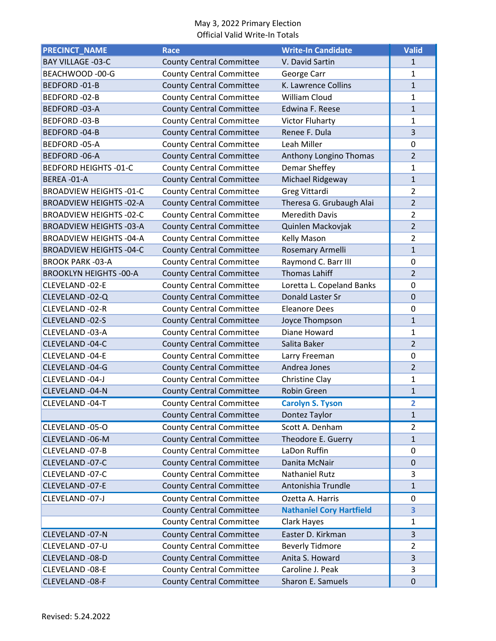| <b>PRECINCT NAME</b>           | <b>Race</b>                     | <b>Write-In Candidate</b>                 | <b>Valid</b>   |
|--------------------------------|---------------------------------|-------------------------------------------|----------------|
| <b>BAY VILLAGE -03-C</b>       | <b>County Central Committee</b> | V. David Sartin                           | $\mathbf{1}$   |
| BEACHWOOD -00-G                | <b>County Central Committee</b> | George Carr                               | $\mathbf{1}$   |
| BEDFORD-01-B                   | <b>County Central Committee</b> | K. Lawrence Collins                       | $\mathbf{1}$   |
| BEDFORD-02-B                   | <b>County Central Committee</b> | <b>William Cloud</b>                      | 1              |
| BEDFORD-03-A                   | <b>County Central Committee</b> | Edwina F. Reese                           | $\mathbf{1}$   |
| BEDFORD-03-B                   | <b>County Central Committee</b> | <b>Victor Fluharty</b>                    | 1              |
| <b>BEDFORD-04-B</b>            | <b>County Central Committee</b> | Renee F. Dula                             | 3              |
| BEDFORD-05-A                   | <b>County Central Committee</b> | Leah Miller                               | $\mathbf 0$    |
| <b>BEDFORD-06-A</b>            | <b>County Central Committee</b> | Anthony Longino Thomas                    | $\overline{2}$ |
| <b>BEDFORD HEIGHTS -01-C</b>   | <b>County Central Committee</b> | Demar Sheffey                             | 1              |
| BEREA-01-A                     | <b>County Central Committee</b> | Michael Ridgeway                          | $\mathbf{1}$   |
| <b>BROADVIEW HEIGHTS -01-C</b> | <b>County Central Committee</b> | Greg Vittardi                             | $\overline{2}$ |
| <b>BROADVIEW HEIGHTS -02-A</b> | <b>County Central Committee</b> | Theresa G. Grubaugh Alai                  | $\overline{2}$ |
| <b>BROADVIEW HEIGHTS -02-C</b> | <b>County Central Committee</b> | <b>Meredith Davis</b>                     | $\overline{2}$ |
| <b>BROADVIEW HEIGHTS -03-A</b> | <b>County Central Committee</b> | Quinlen Mackovjak                         | $\overline{2}$ |
| <b>BROADVIEW HEIGHTS -04-A</b> | <b>County Central Committee</b> | Kelly Mason                               | $\overline{2}$ |
| <b>BROADVIEW HEIGHTS -04-C</b> | <b>County Central Committee</b> | Rosemary Armelli                          | $\overline{1}$ |
| <b>BROOK PARK -03-A</b>        | <b>County Central Committee</b> | Raymond C. Barr III                       | 0              |
| <b>BROOKLYN HEIGHTS -00-A</b>  | <b>County Central Committee</b> | <b>Thomas Lahiff</b>                      | $\overline{2}$ |
| CLEVELAND -02-E                | <b>County Central Committee</b> | Loretta L. Copeland Banks                 | 0              |
| CLEVELAND -02-Q                | <b>County Central Committee</b> | Donald Laster Sr                          | $\mathbf 0$    |
| CLEVELAND -02-R                | <b>County Central Committee</b> | <b>Eleanore Dees</b>                      | 0              |
| CLEVELAND -02-S                | <b>County Central Committee</b> | Joyce Thompson                            | $\mathbf{1}$   |
| CLEVELAND -03-A                | <b>County Central Committee</b> | Diane Howard                              | 1              |
| CLEVELAND -04-C                | <b>County Central Committee</b> | Salita Baker                              | $\overline{2}$ |
| CLEVELAND -04-E                | <b>County Central Committee</b> | Larry Freeman                             | 0              |
| CLEVELAND -04-G                | <b>County Central Committee</b> | Andrea Jones                              | $\overline{2}$ |
| CLEVELAND -04-J                | <b>County Central Committee</b> | Christine Clay                            | 1              |
| CLEVELAND -04-N                | <b>County Central Committee</b> | Robin Green                               | $\mathbf{1}$   |
| CLEVELAND -04-T                | <b>County Central Committee</b> | <b>Carolyn S. Tyson</b>                   | 2              |
|                                | <b>County Central Committee</b> | Dontez Taylor                             | $\mathbf{1}$   |
| CLEVELAND -05-O                | <b>County Central Committee</b> | Scott A. Denham                           | 2              |
| CLEVELAND -06-M                | <b>County Central Committee</b> | Theodore E. Guerry                        | $\mathbf{1}$   |
| CLEVELAND -07-B                | <b>County Central Committee</b> | LaDon Ruffin                              | 0              |
| CLEVELAND -07-C                | <b>County Central Committee</b> | Danita McNair                             | 0              |
| CLEVELAND -07-C                | <b>County Central Committee</b> | <b>Nathaniel Rutz</b>                     | 3              |
| CLEVELAND -07-E                | <b>County Central Committee</b> | Antonishia Trundle                        | $\mathbf{1}$   |
| CLEVELAND -07-J                | <b>County Central Committee</b> | Ozetta A. Harris                          | 0              |
|                                | <b>County Central Committee</b> | <b>Nathaniel Cory Hartfield</b>           | 3              |
|                                | <b>County Central Committee</b> | Clark Hayes                               | $\mathbf{1}$   |
| CLEVELAND -07-N                | <b>County Central Committee</b> | Easter D. Kirkman                         | 3              |
| CLEVELAND -07-U                |                                 |                                           | $\overline{2}$ |
|                                | <b>County Central Committee</b> | <b>Beverly Tidmore</b><br>Anita S. Howard | 3              |
| CLEVELAND -08-D                | <b>County Central Committee</b> |                                           |                |
| CLEVELAND -08-E                | <b>County Central Committee</b> | Caroline J. Peak                          | 3              |
| CLEVELAND -08-F                | <b>County Central Committee</b> | Sharon E. Samuels                         | $\pmb{0}$      |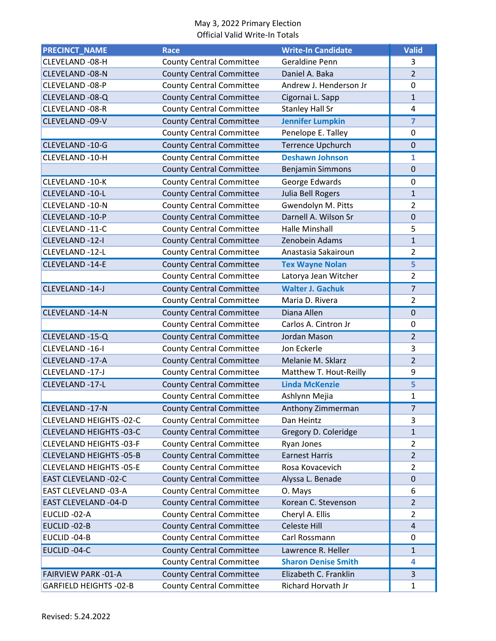| <b>PRECINCT_NAME</b>           | <b>Race</b>                     | <b>Write-In Candidate</b>  | <b>Valid</b>   |
|--------------------------------|---------------------------------|----------------------------|----------------|
| CLEVELAND -08-H                | <b>County Central Committee</b> | <b>Geraldine Penn</b>      | 3              |
| <b>CLEVELAND -08-N</b>         | <b>County Central Committee</b> | Daniel A. Baka             | $\overline{2}$ |
| CLEVELAND -08-P                | <b>County Central Committee</b> | Andrew J. Henderson Jr     | $\mathbf 0$    |
| CLEVELAND -08-Q                | <b>County Central Committee</b> | Cigornai L. Sapp           | $\mathbf{1}$   |
| CLEVELAND -08-R                | <b>County Central Committee</b> | <b>Stanley Hall Sr</b>     | $\overline{4}$ |
| CLEVELAND -09-V                | <b>County Central Committee</b> | <b>Jennifer Lumpkin</b>    | $\overline{7}$ |
|                                | <b>County Central Committee</b> | Penelope E. Talley         | 0              |
| CLEVELAND -10-G                | <b>County Central Committee</b> | <b>Terrence Upchurch</b>   | $\mathbf 0$    |
| CLEVELAND -10-H                | <b>County Central Committee</b> | <b>Deshawn Johnson</b>     | 1              |
|                                | <b>County Central Committee</b> | <b>Benjamin Simmons</b>    | $\mathbf 0$    |
| CLEVELAND -10-K                | <b>County Central Committee</b> | George Edwards             | $\mathbf 0$    |
| CLEVELAND -10-L                | <b>County Central Committee</b> | Julia Bell Rogers          | $\mathbf{1}$   |
| CLEVELAND -10-N                | <b>County Central Committee</b> | Gwendolyn M. Pitts         | $\overline{2}$ |
| CLEVELAND -10-P                | <b>County Central Committee</b> | Darnell A. Wilson Sr       | $\mathbf 0$    |
| CLEVELAND -11-C                | <b>County Central Committee</b> | <b>Halle Minshall</b>      | 5              |
| CLEVELAND -12-I                | <b>County Central Committee</b> | Zenobein Adams             | $\mathbf{1}$   |
| CLEVELAND -12-L                | <b>County Central Committee</b> | Anastasia Sakairoun        | 2              |
| CLEVELAND -14-E                | <b>County Central Committee</b> | <b>Tex Wayne Nolan</b>     | 5              |
|                                | <b>County Central Committee</b> | Latorya Jean Witcher       | $\overline{2}$ |
| CLEVELAND -14-J                | <b>County Central Committee</b> | <b>Walter J. Gachuk</b>    | $\overline{7}$ |
|                                | <b>County Central Committee</b> | Maria D. Rivera            | $\overline{2}$ |
| CLEVELAND -14-N                | <b>County Central Committee</b> | Diana Allen                | $\mathbf 0$    |
|                                | <b>County Central Committee</b> | Carlos A. Cintron Jr       | $\mathbf 0$    |
| CLEVELAND -15-Q                | <b>County Central Committee</b> | Jordan Mason               | $\overline{2}$ |
| CLEVELAND -16-I                | <b>County Central Committee</b> | Jon Eckerle                | 3              |
| CLEVELAND -17-A                | <b>County Central Committee</b> | Melanie M. Sklarz          | $\overline{2}$ |
| CLEVELAND -17-J                | <b>County Central Committee</b> | Matthew T. Hout-Reilly     | 9              |
| CLEVELAND -17-L                | <b>County Central Committee</b> | <b>Linda McKenzie</b>      | 5              |
|                                | <b>County Central Committee</b> | Ashlynn Mejia              | $\mathbf{1}$   |
| CLEVELAND -17-N                | <b>County Central Committee</b> | Anthony Zimmerman          | 7              |
| <b>CLEVELAND HEIGHTS -02-C</b> | <b>County Central Committee</b> | Dan Heintz                 | 3              |
| <b>CLEVELAND HEIGHTS -03-C</b> | <b>County Central Committee</b> | Gregory D. Coleridge       | $\mathbf{1}$   |
| <b>CLEVELAND HEIGHTS -03-F</b> | <b>County Central Committee</b> | Ryan Jones                 | 2              |
| <b>CLEVELAND HEIGHTS -05-B</b> | <b>County Central Committee</b> | <b>Earnest Harris</b>      | $\overline{2}$ |
| <b>CLEVELAND HEIGHTS -05-E</b> | <b>County Central Committee</b> | Rosa Kovacevich            | $\overline{2}$ |
| <b>EAST CLEVELAND -02-C</b>    | <b>County Central Committee</b> | Alyssa L. Benade           | $\mathbf 0$    |
| EAST CLEVELAND -03-A           | <b>County Central Committee</b> | O. Mays                    | 6              |
| EAST CLEVELAND -04-D           | <b>County Central Committee</b> | Korean C. Stevenson        | 2              |
| EUCLID-02-A                    | <b>County Central Committee</b> | Cheryl A. Ellis            | $\overline{2}$ |
| EUCLID-02-B                    | <b>County Central Committee</b> | Celeste Hill               | $\overline{a}$ |
| EUCLID-04-B                    | <b>County Central Committee</b> | Carl Rossmann              | 0              |
| EUCLID-04-C                    | <b>County Central Committee</b> | Lawrence R. Heller         | $\mathbf{1}$   |
|                                | <b>County Central Committee</b> | <b>Sharon Denise Smith</b> | 4              |
| <b>FAIRVIEW PARK-01-A</b>      | <b>County Central Committee</b> | Elizabeth C. Franklin      | 3              |
| <b>GARFIELD HEIGHTS -02-B</b>  | <b>County Central Committee</b> | Richard Horvath Jr         | 1              |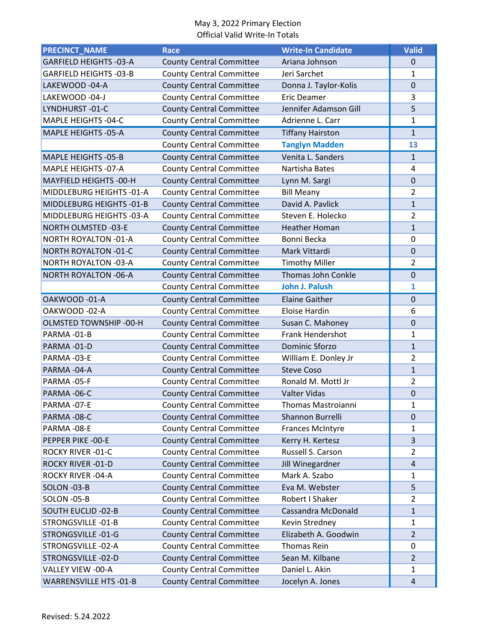| <b>PRECINCT_NAME</b>          | <b>Race</b>                     | <b>Write-In Candidate</b> | <b>Valid</b>            |
|-------------------------------|---------------------------------|---------------------------|-------------------------|
| <b>GARFIELD HEIGHTS -03-A</b> | <b>County Central Committee</b> | Ariana Johnson            | $\mathbf 0$             |
| <b>GARFIELD HEIGHTS -03-B</b> | <b>County Central Committee</b> | Jeri Sarchet              | 1                       |
| LAKEWOOD -04-A                | <b>County Central Committee</b> | Donna J. Taylor-Kolis     | $\mathbf 0$             |
| LAKEWOOD -04-J                | <b>County Central Committee</b> | <b>Eric Deamer</b>        | 3                       |
| LYNDHURST-01-C                | <b>County Central Committee</b> | Jennifer Adamson Gill     | 5                       |
| MAPLE HEIGHTS -04-C           | <b>County Central Committee</b> | Adrienne L. Carr          | $\mathbf 1$             |
| MAPLE HEIGHTS -05-A           | <b>County Central Committee</b> | <b>Tiffany Hairston</b>   | $\mathbf{1}$            |
|                               | <b>County Central Committee</b> | <b>Tanglyn Madden</b>     | 13                      |
| <b>MAPLE HEIGHTS -05-B</b>    | <b>County Central Committee</b> | Venita L. Sanders         | $\mathbf{1}$            |
| <b>MAPLE HEIGHTS -07-A</b>    | <b>County Central Committee</b> | Nartisha Bates            | 4                       |
| MAYFIELD HEIGHTS -00-H        | <b>County Central Committee</b> | Lynn M. Sargi             | $\overline{0}$          |
| MIDDLEBURG HEIGHTS -01-A      | <b>County Central Committee</b> | <b>Bill Meany</b>         | $\overline{2}$          |
| MIDDLEBURG HEIGHTS -01-B      | <b>County Central Committee</b> | David A. Pavlick          | $\mathbf{1}$            |
| MIDDLEBURG HEIGHTS -03-A      | <b>County Central Committee</b> | Steven E. Holecko         | 2                       |
| NORTH OLMSTED -03-E           | <b>County Central Committee</b> | <b>Heather Homan</b>      | $\mathbf{1}$            |
| <b>NORTH ROYALTON -01-A</b>   | <b>County Central Committee</b> | Bonni Becka               | $\mathbf 0$             |
| <b>NORTH ROYALTON -01-C</b>   | <b>County Central Committee</b> | Mark Vittardi             | $\mathbf 0$             |
| <b>NORTH ROYALTON -03-A</b>   | <b>County Central Committee</b> | <b>Timothy Miller</b>     | $\overline{2}$          |
| <b>NORTH ROYALTON -06-A</b>   |                                 | Thomas John Conkle        | $\mathbf 0$             |
|                               | <b>County Central Committee</b> | <b>John J. Palush</b>     | 1                       |
|                               | <b>County Central Committee</b> |                           |                         |
| OAKWOOD-01-A                  | <b>County Central Committee</b> | <b>Elaine Gaither</b>     | $\overline{0}$          |
| OAKWOOD -02-A                 | <b>County Central Committee</b> | Eloise Hardin             | 6                       |
| OLMSTED TOWNSHIP -00-H        | <b>County Central Committee</b> | Susan C. Mahoney          | $\mathbf 0$             |
| PARMA-01-B                    | <b>County Central Committee</b> | <b>Frank Hendershot</b>   | 1                       |
| PARMA-01-D                    | <b>County Central Committee</b> | Dominic Sforzo            | $\mathbf{1}$            |
| PARMA-03-E                    | <b>County Central Committee</b> | William E. Donley Jr      | 2                       |
| PARMA-04-A                    | <b>County Central Committee</b> | <b>Steve Coso</b>         | $\mathbf{1}$            |
| PARMA-05-F                    | <b>County Central Committee</b> | Ronald M. Mottl Jr        | $\overline{2}$          |
| PARMA-06-C                    | <b>County Central Committee</b> | <b>Valter Vidas</b>       | $\mathbf 0$             |
| PARMA-07-E                    | <b>County Central Committee</b> | Thomas Mastroianni        | 1                       |
| PARMA-08-C                    | <b>County Central Committee</b> | Shannon Burrelli          | $\boldsymbol{0}$        |
| PARMA-08-E                    | <b>County Central Committee</b> | <b>Frances McIntyre</b>   | 1                       |
| PEPPER PIKE -00-E             | <b>County Central Committee</b> | Kerry H. Kertesz          | $\overline{\mathbf{3}}$ |
| ROCKY RIVER -01-C             | <b>County Central Committee</b> | Russell S. Carson         | 2                       |
| ROCKY RIVER -01-D             | <b>County Central Committee</b> | Jill Winegardner          | $\sqrt{4}$              |
| ROCKY RIVER -04-A             | <b>County Central Committee</b> | Mark A. Szabo             | 1                       |
| SOLON -03-B                   | <b>County Central Committee</b> | Eva M. Webster            | 5                       |
| SOLON -05-B                   | <b>County Central Committee</b> | Robert I Shaker           | $\overline{2}$          |
| <b>SOUTH EUCLID -02-B</b>     | <b>County Central Committee</b> | Cassandra McDonald        | $\mathbf{1}$            |
| STRONGSVILLE-01-B             | <b>County Central Committee</b> | Kevin Stredney            | 1                       |
| STRONGSVILLE-01-G             | <b>County Central Committee</b> | Elizabeth A. Goodwin      | $\overline{2}$          |
| STRONGSVILLE-02-A             | <b>County Central Committee</b> | Thomas Rein               | 0                       |
| STRONGSVILLE-02-D             | <b>County Central Committee</b> | Sean M. Kilbane           | $\overline{2}$          |
| VALLEY VIEW -00-A             | <b>County Central Committee</b> | Daniel L. Akin            | 1                       |
| <b>WARRENSVILLE HTS -01-B</b> | <b>County Central Committee</b> | Jocelyn A. Jones          | $\overline{a}$          |